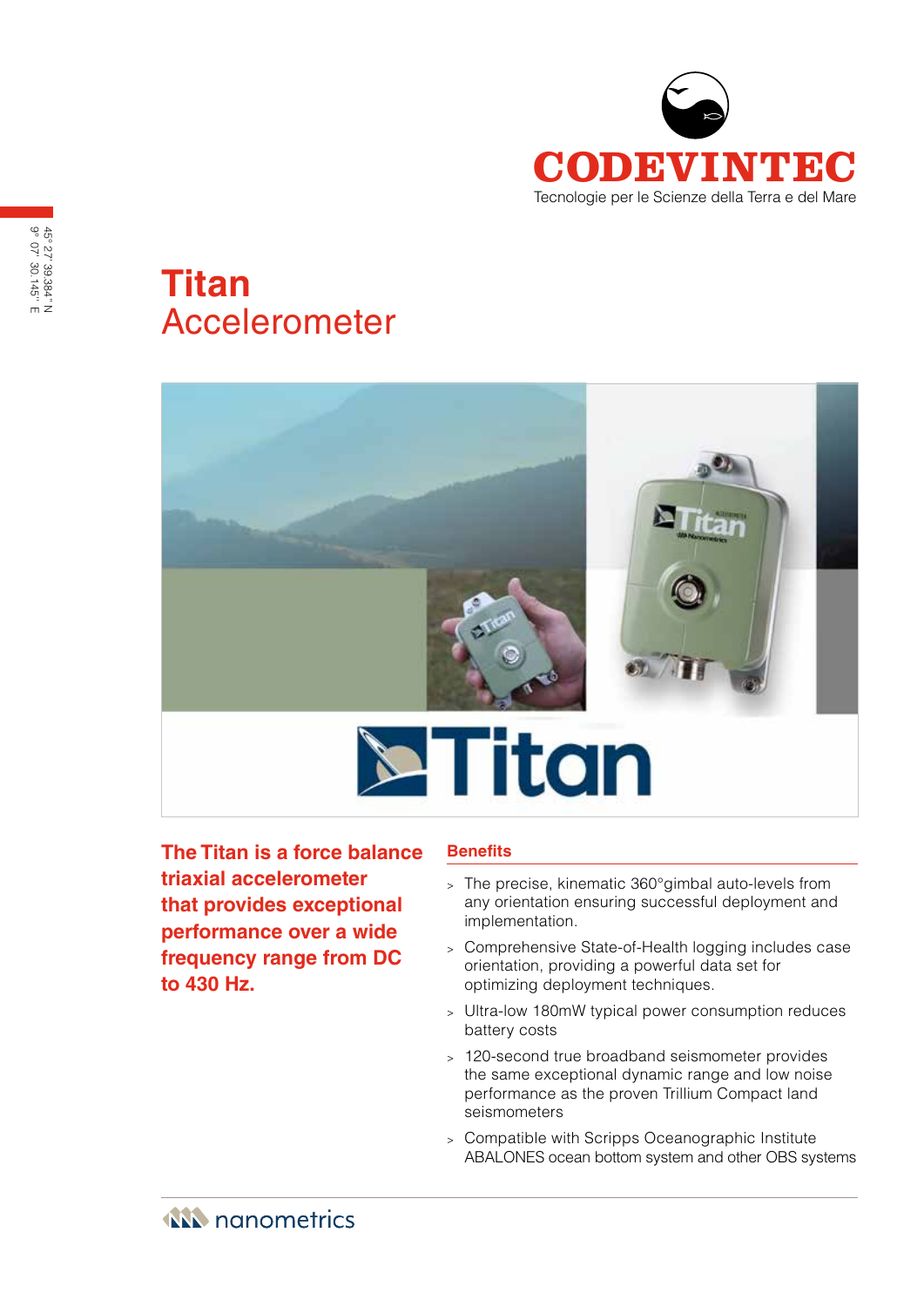

# **Titan** Accelerometer



**The Titan is a force balance triaxial accelerometer that provides exceptional performance over a wide frequency range from DC to 430 Hz.**

# **Benefits**

- <sup>&</sup>gt; The precise, kinematic 360°gimbal auto-levels from any orientation ensuring successful deployment and implementation.
- <sup>&</sup>gt; Comprehensive State-of-Health logging includes case orientation, providing a powerful data set for optimizing deployment techniques.
- <sup>&</sup>gt; Ultra-low 180mW typical power consumption reduces battery costs
- <sup>&</sup>gt; 120-second true broadband seismometer provides the same exceptional dynamic range and low noise performance as the proven Trillium Compact land seismometers
- <sup>&</sup>gt; Compatible with Scripps Oceanographic Institute ABALONES ocean bottom system and other OBS systems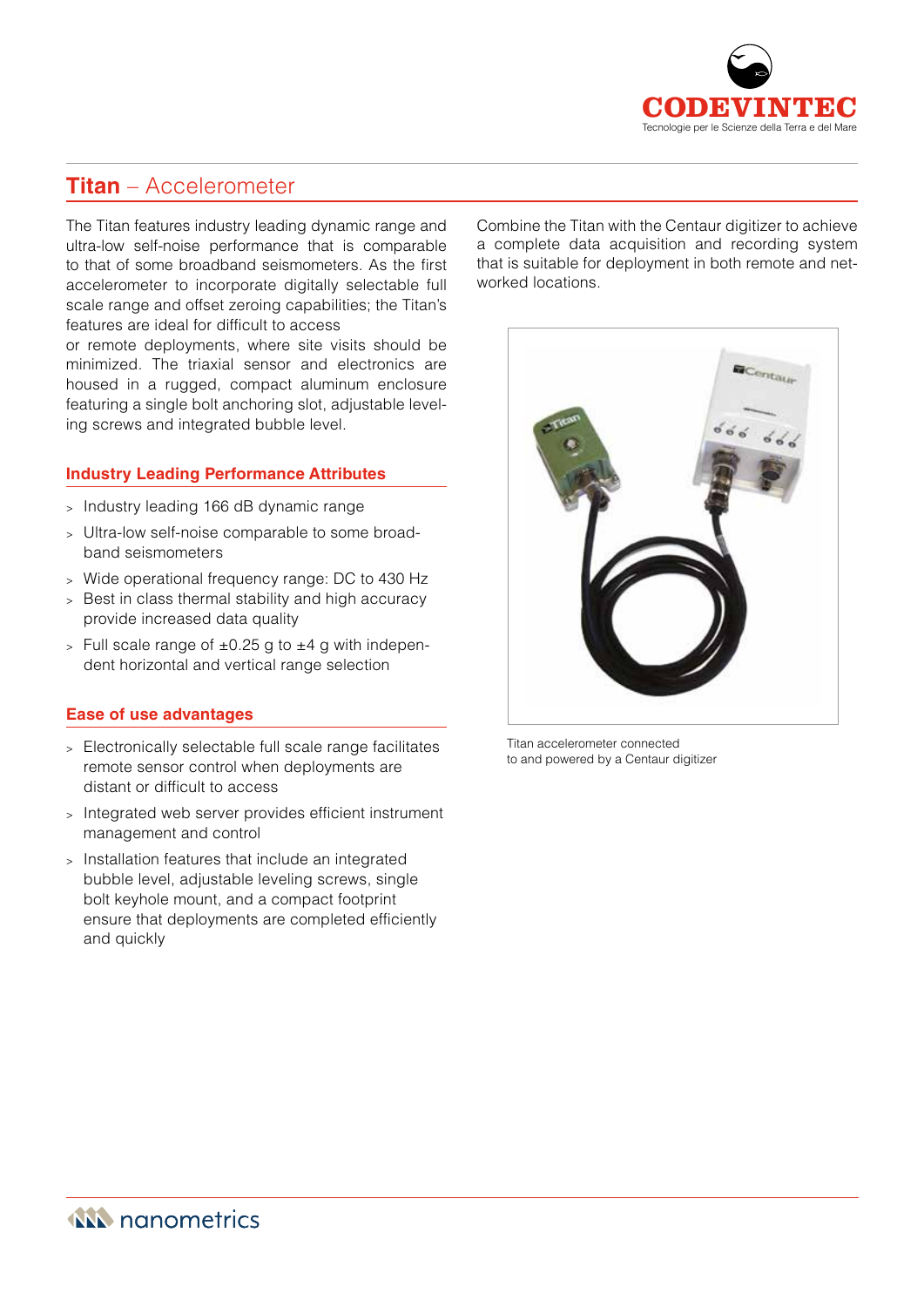

# **Titan** – Accelerometer

The Titan features industry leading dynamic range and ultra-low self-noise performance that is comparable to that of some broadband seismometers. As the first accelerometer to incorporate digitally selectable full scale range and offset zeroing capabilities; the Titan's features are ideal for difficult to access

or remote deployments, where site visits should be minimized. The triaxial sensor and electronics are housed in a rugged, compact aluminum enclosure featuring a single bolt anchoring slot, adjustable leveling screws and integrated bubble level.

# **Industry Leading Performance Attributes**

- <sup>&</sup>gt; Industry leading 166 dB dynamic range
- <sup>&</sup>gt; Ultra-low self-noise comparable to some broadband seismometers
- <sup>&</sup>gt; Wide operational frequency range: DC to 430 Hz
- <sup>&</sup>gt; Best in class thermal stability and high accuracy provide increased data quality
- $>$  Full scale range of  $\pm 0.25$  g to  $\pm 4$  g with independent horizontal and vertical range selection

#### **Ease of use advantages**

- <sup>&</sup>gt; Electronically selectable full scale range facilitates remote sensor control when deployments are distant or difficult to access
- <sup>&</sup>gt; Integrated web server provides efficient instrument management and control
- <sup>&</sup>gt; Installation features that include an integrated bubble level, adjustable leveling screws, single bolt keyhole mount, and a compact footprint ensure that deployments are completed efficiently and quickly

Combine the Titan with the Centaur digitizer to achieve a complete data acquisition and recording system that is suitable for deployment in both remote and networked locations.



Titan accelerometer connected to and powered by a Centaur digitizer